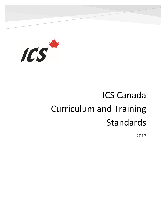

# ICS Canada Curriculum and Training Standards

2017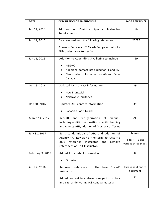| <b>DATE</b>      | <b>DESCRIPTION OF AMENDMENT</b>                                                                                                                                                    | <b>PAGE REFERENCE</b>                            |
|------------------|------------------------------------------------------------------------------------------------------------------------------------------------------------------------------------|--------------------------------------------------|
| Jan 11, 2016     | Specific<br>Addition<br>of<br>Position<br>Instructor<br>Requirements                                                                                                               | 26                                               |
| Jan 11, 2016     | Date removed from the following reference(s)<br>Process to Become an ICS Canada Recognized Instructor<br>AND Under Instructor section                                              | 22/26                                            |
| Jan 11, 2016     | Addition to Appendix C AHJ listing to include<br><b>NBEMO</b><br>Additional contact info added for PE and NS<br>New contact information for AB and Parks<br>Canada                 | 29                                               |
| Oct 19, 2016     | Updated AHJ contact information<br><b>New Brunswick</b><br><b>Northwest Territories</b>                                                                                            | 39                                               |
| Dec 20, 2016     | Updated AHJ contact information<br><b>Canadian Coast Guard</b>                                                                                                                     | 39                                               |
| March 14, 2017   | Redraft<br>reorganization<br>of<br>and<br>manual,<br>including addition of position specific training<br>and Agency AHJ, addition of Glossary of Terms                             | All                                              |
| July 31, 2017    | Edits to definition of AHJ and addition of<br>Agency AHJ. Revision of the term instructor to<br>only<br>reference<br>Instructor<br>and<br>remove<br>references of Unit Instructor. | Several<br>Pages 4 - 5 and<br>various throughout |
| February 9, 2018 | Added AHJ contact information<br>Ontario                                                                                                                                           | 40                                               |
| April 4, 2018    | "Lead"<br>Removed<br>reference to<br>the<br>term<br>Instructor                                                                                                                     | Throughout entire<br>document                    |
|                  | Added content to address foreign instructors<br>and cadres delivering ICS Canada material.                                                                                         | 31                                               |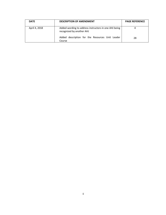| <b>DATE</b>   | <b>DESCRIPTION OF AMENDMENT</b>                                                    | <b>PAGE REFERENCE</b> |
|---------------|------------------------------------------------------------------------------------|-----------------------|
| April 4, 2018 | Added wording to address instructors in one AHJ being<br>recognized by another AHJ | 4                     |
|               | Added description for the Resources Unit Leader<br>Course                          | 28                    |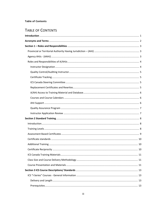# **TABLE OF CONTENTS**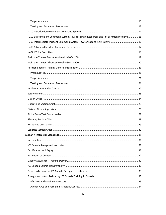| I-200 Basic Incident Command System - ICS for Single Resources and Initial Action Incidents 15 |  |
|------------------------------------------------------------------------------------------------|--|
|                                                                                                |  |
|                                                                                                |  |
|                                                                                                |  |
|                                                                                                |  |
|                                                                                                |  |
|                                                                                                |  |
|                                                                                                |  |
|                                                                                                |  |
|                                                                                                |  |
|                                                                                                |  |
|                                                                                                |  |
|                                                                                                |  |
|                                                                                                |  |
|                                                                                                |  |
|                                                                                                |  |
|                                                                                                |  |
|                                                                                                |  |
|                                                                                                |  |
|                                                                                                |  |
|                                                                                                |  |
|                                                                                                |  |
|                                                                                                |  |
|                                                                                                |  |
|                                                                                                |  |
|                                                                                                |  |
|                                                                                                |  |
|                                                                                                |  |
|                                                                                                |  |
|                                                                                                |  |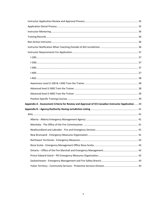| Appendix A - Assessment Criteria for Review and Approval of ICS Canadian Instructor Application  40 |  |
|-----------------------------------------------------------------------------------------------------|--|
|                                                                                                     |  |
|                                                                                                     |  |
|                                                                                                     |  |
|                                                                                                     |  |
|                                                                                                     |  |
|                                                                                                     |  |
|                                                                                                     |  |
|                                                                                                     |  |
|                                                                                                     |  |
|                                                                                                     |  |
|                                                                                                     |  |
|                                                                                                     |  |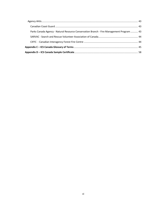| Parks Canada Agency - Natural Resource Conservation Branch - Fire Management Program  43 |  |
|------------------------------------------------------------------------------------------|--|
|                                                                                          |  |
|                                                                                          |  |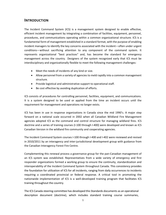## **INTRODUCTION**

The Incident Command System (ICS) is a management system designed to enable effective, efficient incident management by integrating a combination of facilities, equipment, personnel, procedures, and communications operating within a common organizational structure. ICS is a fundamental form of management established in a standard format, with the purpose of enabling incident managers to identify the key concerns associated with the incident—often under urgent conditions—without sacrificing attention to any component of the command system. It represents organizational "best practices" and, has become the standard for emergency management across the country. Designers of the system recognized early that ICS must be interdisciplinary and organizationally flexible to meet the following management challenges:

- Meet the needs of incidents of any kind or size.
- Allow personnel from a variety of agencies to meld rapidly into a common management structure.
- Provide logistical and administrative support to operational staff.
- Be cost effective by avoiding duplication of efforts.

ICS consists of procedures for controlling personnel, facilities, equipment, and communications. It is a system designed to be used or applied from the time an incident occurs until the requirement for management and operations no longer exists.

ICS has been in use in response organizations in Canada since the mid 1990's. A major step forward on a national scale occurred in 2002 when all Canadian Wildland Fire Management agencies adopted ICS as the command and control structure for managing wildland fires. ICS doctrine and a series of training courses (I-100 through I-400) were developed and known as ICS Canadian Version in the wildland fire community and cooperating agencies.

The Incident Command System courses I-100 through I-400 and I-402 were reviewed and revised in 2010/2011 by an interagency and inter-jurisdictional development group with guidance from the Canadian Interagency Forest Fire Centre.

Complementing this renewal process a governance group for the pan-Canadian management of an ICS system was established. Representatives from a wide variety of emergency and first responder organizations formed a working group to ensure the continuity, standardization and interoperability of the Incident Command System throughout Canada. This consistency provides the foundation for utilization of ICS for all incidents, ranging from daily occurrences to incidents requiring a coordinated provincial or federal response. A critical tool in promoting the nationwide implementation of ICS is a well-developed training program that facilitates ICS training throughout the country.

The ICS Canada steering committee has developed this Standards documents as an operational description document (doctrine), which includes standard training course summaries,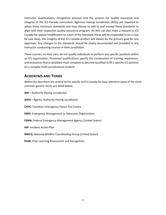Instructor qualifications, recognition process, and the process for quality assurance and integrity of the ICS Canada curriculum. Agencies Having Jurisdiction (AHJs) are required to adopt these minimum standards and may choose to add to and exceed these standards to align with their respective quality assurance program. An AHJ can also make a request to ICS Canada for special modification to a part of the Standard, these will be responded to on a case by case basis, the integrity of the ICS Canada product will always be the primary goal for any approvals. Any changes to the standards should be clearly documented and provided to any Instructor conducting courses in their jurisdiction.

These courses, on their own, do not qualify individuals to perform any specific positions within an ICS organization. Personnel qualifications specify the combination of training, experience, and evaluation that a candidate must complete to become qualified to fill a specific ICS position on a complex multi-jurisdictional incident.

## **ACRONYMS AND TERMS**

Within this text there are several terms specific to ICS Canada for easy reference some of the more common generic terms are listed below.

- **AHJ –** Authority Having Jurisdiction
- **AAHJ –** Agency Authority Having Jurisdiction
- **CIFFC:** Canadian Interagency Forest Fire Centre
- **EMO:** Emergency Management or Measures Organization
- **FEMA:** Federal Emergency Management Agency (United States)
- **IAP:** Incident Action Plan
- **NWCG:** National Wildfire Coordinating Group (United States)
- **PLAR:** Prior Learning Assessment and Recognition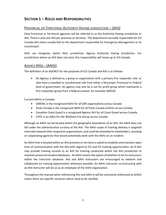# **SECTION 1 – ROLES AND RESPONSIBILITIES**

## PROVINCIAL OR TERRITORIAL AUTHORITY HAVING JURISDICTION – (AHJ)

Only Provincial or Territorial agencies will be referred to as the Authority Having Jurisdiction or AHJ. There is only one AHJ per province or territory. The department normally responsible for ICS Canada AHJ status usually falls to the department responsible for Emergency Management or its counterpart.

AHJs can recognize, within their jurisdiction, Agency Authority Having Jurisdiction. For jurisdictions where an AHJ does not exist, this responsibility will move up to ICS Canada.

## AGENCY AHJS - (AAHJ)

The definition of an AGENCY for the purposes of ICS Canada and AHJ is as follows:

• An Agency is defined as a group or organization with a primary first responder role, or who have a mandate or jurisdictional role from either a Municipal, Provincial or Federal level of government. An agency may also be a not for profit group which represents a first responder group from a federal context, for example SARVAC.

Current AAHJs in Canada:

- SARVAC is the recognized AAHJ for all SAR organizations across Canada
- Parks Canada is the recognized AAHJ for all Parks Canada entities across Canada
- Canadian Coast Guard is a recognized Agency AHJ for all Coast Guard across Canada.
- CIFFC is an AAHJ for the Wildland Fire Group across Canada.

Although an AAHJ can be located within the geographic boundaries of an AHJ, the AAHJ does not fall under the administrative scrutiny of the AHJ. The AAHJ scope of training delivery is targeted internally towards their respective organizations, and could be extended to stakeholders, assisting or cooperating agencies that would potentially work with the AAHJ on an incident.

An AAHJ that is located within an AHJ province or territory is asked to establish and maintain open lines of communication with the AHJ with regard to ICS and ICS training opportunities. An A-AHJ may provide training records to an AHJ for training conducted within the AHJ jurisdiction to maintain provincial student databases. An AAHJ retains the option of whether to list its instructors within the instructor database. AHJ and AAHJ instructors are encouraged to network and collaborate on training opportunities wherever possible. An AAHJ instructor co-instructing with an AHJ instructor will do so as an employee of the AAHJ organization.

Throughout this manual when referencing AHJ and AAHJ it will be commonly referenced as A/AHJ unless there are specific variances which need to be clarified.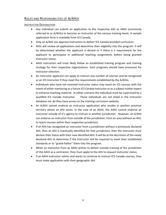## ROLES AND RESPONSIBILITIES OF A/AHJS

## INSTRUCTOR DESIGNATION

- Any individual can submit an application to the respective AHJ or AAHJ (commonly referred to as A/AHJs) to become an Instructor of the various training levels. A sample application form is available from ICS Canada.
- Only an A/AHJ can approve Instructors to deliver ICS Canada branded curriculum.
- AHJs will review all applications and determine their eligibility into the program. It will be determined whether the applicant is denied or if there is a requirement for the applicant to participate in additional teaching assignments before being granted Instructor status.
- AAHJ instructors will most likely follow an established training program and training strategy for their respective organizations. Such programs should have processes for instructor selection.
- An instructor applicant can apply to instruct any number of courses and be recognized as an ICS Instructor if they meet the requirements established by the A/AHJs.
- Individuals who have not received Instructor status may teach on ICS courses with the intent of either mentoring as a future ICS Canada Instructor or as a subject matter expert to enhance teaching material. In either scenario the individual must be supervised by a qualified ICS Canada Instructor. These individuals are not listed in the instructor database nor do they have access to the training curriculum website.
- An A/AHJ cannot endorse an instructor application who resides in another province territory where an AHJ exists. In the case of an AAHJ, the AAHJ cannot endorse an instructor outside of it's agency to instruct in another jurisdiction. However, an A/AHJ can endorse an instructor from outside of the jurisdiction, from an area without an AHJ, to teach courses within their respective jurisdiction.
- If an AHJ has recognized an instructor from a jurisdiction without a previously declared AHJ, then an AHJ is eventually identified for that jurisdiction, then the instructor must declare their status with their now identified AHJ. It will be at the discretion of the newly declared AHJ to determine if the Instructor will be required to meet their established standards or to "grand-father" them into the program.
- When an Instructor from an AAHJ wishes to deliver outside training of the jurisdiction of the AAHJ as a contractor, they must apply to the AHJ to request instructor status.
- If an AAHJ instructor retires and wants to continue to instruct ICS Canada courses, they must make application with their geographic AHJ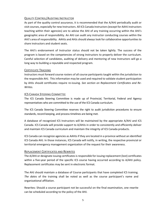## QUALITY CONTROL/AUDITING INSTRUCTOR

As part of the quality control assurance, it is recommended that the A/AHJ periodically audit or visit courses, especially for new Instructors. All ICS Canada Instructors (except for AAHJ instructors teaching within their agencies) are to advise the AHJ of any training occurring within the AHJ's geographic area of responsibility. An AHJ can audit any instructor conducting courses within the AHJ's area of responsibility. AAHJs and AHJs should always look for collaborative opportunities to share instructors and student seats.

The AHJ's endorsement of Instructor status should not be taken lightly. The success of the program is based on the competencies of strong Instructors to properly deliver the curriculum. Careful selection of candidates, auditing of delivery and mentoring of new Instructors will go a long way to building a reputable and respected program.

## **CERTIFICATE TRACKING**

Instructors must forward course rosters of all course participants taught within the jurisdiction to the responsible AHJ. This information may be used and required to validate student participation by AHJs should certificates require re-issuing. *See section on Replacement Certificates and Re-Writes.* 

## ICS CANADA STEERING COMMITTEE

The ICS Canada Steering Committee is made up of Provincial, Territorial, Federal and Agency representatives who are committed to the use of the ICS Canada curriculum.

The ICS Canada Steering Committee reserves the right to audit jurisdiction procedures to ensure standards, record keeping, and process timelines are being met.

A database of recognized ICS Instructors will be maintained by the appropriate A/AHJ and ICS Canada. ICS Canada will provide support to A/AHJs in order to consistently and efficiently deliver and maintain ICS Canada curriculum and maintain the integrity of ICS Canada products.

ICS Canada can recognize agencies as AAHJs if they are located in a province without an identified ICS Canada AHJ. In those instances, ICS Canada will notify, in writing, the respective provincial or territorial emergency management organization of the request for their awareness.

## REPLACEMENT CERTIFICATES AND REWRITES

The A/AHJ or designate issuing certificates is responsible for issuing replacement (lost) certificates within a five-year period of the specific ICS course having occurred according to A/AHJ policy. Replacement certificates may be sent in electronic format.

The AHJ should maintain a database of Course participants that have completed ICS training. *The dates* of the training shall be noted as well as the course participant's name and organizational affiliation.

Rewrites: Should a course participant not be successful on the final examination, one rewrite can be scheduled according to the policy of the AHJ.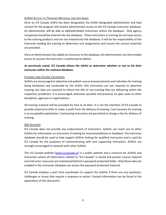## A/AHJ ACCESS TO TRAINING MATERIAL AND DATABASE

Once an ICS Canada A/AHJ has been designated, the A/AHJ designated administrator and lead contact for the program will receive administrator access to the ICS Canada Instructor database. An Administrator will be able to add/edit/delete Instructors within the database. Only agency recognized should be entered into the database. Those instructors in training do not have access to the training products and are not entered into the database. It will be the responsibility of the Instructor leading the training to determine unit assignments and ensure the correct materials are provided.

Once an Administrator has added an Instructor to the database, the administrator can then enable access to courses the Instructor is authorized to deliver.

## *As previously noted, ICS Canada allows the AAHJs to determine whether or not to list their Instructor within the national database.*

## COURSES AND COURSE CALENDARS

A/AHJs are encouraged to advertise and publish course announcements and calendars for training being facilitated and conducted by the A/AHJ. AHJ Instructors are not required to advertise training, but they are required to inform the AHJ of any training they are delivering within the respective jurisdiction. It is encouraged, whenever possible and practical, to open seats to other disciplines, agencies or organizations.

All training material will be provided for free to all AHJs. It is not the intention of ICS Canada to provide material to AHJs to make a profit from the delivery of training. Cost recovery for training is an acceptable expectation. Contracting Instructors are permitted to charge a fee for delivery of training.

## AHJ SUPPORT

ICS Canada does not provide any endorsement of Instructors. A/AHJs can reach out to other A/AHJs for information on Instructors if looking for recommendations or feedback. The Instructor database should be used to help support A/AHJs looking for qualified Instructors and is used by ICS Canada for the purposes of communicating with and supporting Instructors. A/AHJs are strongly encouraged to network with other A/AHJs.

The ICS Canada website (www.icscanada.ca) is a public website and a resource for A/AHJs and Instructors where all information related to "ICS Canada" is stored and posted. Course material and instructor resources are maintained behind a password protected folder. Only those who are enabled in the instructor database can access the password protected material.

ICS Canada employs a part time coordinator to support the A/AHJs if there are any questions, challenges or issues that require a response or action. Contact information can be found in the appendices of this document.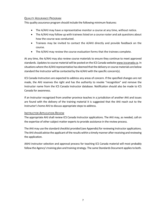## QUALITY ASSURANCE PROGRAM

This quality assurance program should include the following minimum features:

- The A/AHJ may have a representative monitor a course at any time, without notice.
- The A/AHJ may follow up with trainees listed on a course roster and ask questions about how the course was conducted.
- Trainees may be invited to contact the A/AHJ directly and provide feedback on the course.
- The A/AHJ may review the course evaluation forms that the trainees complete.

At any time, the A/AHJ may also review course materials to ensure they continue to meet approved standards. Updates to course material will be posted on the ICS Canada website www.icscanada.ca. In situations where the A/AHJ representative has deemed that the delivery or course materials are below standard the Instructor will be contacted by the A/AHJ with the specific concern(s).

ICS Canada Instructors are expected to address any areas of concern. If the specified changes are not made, the AHJ reserves the right and has the authority to revoke "recognition" and remove the Instructor name from the ICS Canada Instructor database. Notification should also be made to ICS Canada for awareness.

If an Instructor recognized from another province teaches in a jurisdiction of another AHJ and issues are found with the delivery of the training material it is suggested that the AHJ reach out to the Instructor's home AHJ to discuss appropriate steps to address.

## INSTRUCTOR APPLICATION REVIEW

The appropriate AHJ shall review ICS Canada Instructor applications. The AHJ may, as needed, call on the expertise of other subject matter experts to provide assistance in the review process.

The AHJ may use the standard checklist provided (see Appendix) for reviewing Instructor applications. The AHJ should advise the applicant of the results within a timely manner after receiving and reviewing the application.

AAHJ instructor selection and approval process for teaching ICS Canada material will most probably follow the Agency's training plan and training strategy. The same Standards Document applies to both.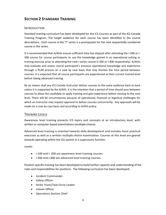# **SECTION 2 STANDARD TRAINING**

## INTRODUCTION

Standard training curriculum has been developed for the ICS Courses as part of the ICS Canada Training Program. The target audience for each course has been identified in the course descriptions. Each course in the "I" series is a prerequisite for the next sequentially numbered course in the series.

It is recommended that A/AHJs ensure sufficient time has elapsed after attending the I-200 or I-300 course for course participants to use the knowledge gained in an operational setting or training exercise prior to attending the next I-series course (I-300 or I-400 respectively). A/AHJs may evaluate and assess course participant's previous operational knowledge and experience through a PLAR process on a case by case basis that may shorten the time period between courses. It is expected that all course participants are experienced at their current trained level before taking advanced training.

By no means shall any ICS Canada Instructor deliver courses to the same audience back to back unless it is supported by the A/AHJ. It is the intention that a period of time should pass between courses to allow the candidate to apply training and gain experience before moving to the next level. There will be circumstances because of operational, financial or logistical challenges for which an Instructor may request approval to deliver courses concurrently. Any approvals will be made on a case by case basis and according to A/AHJ policy.

## TRAINING LEVELS

Awareness level training presents ICS topics and concepts at an introductory level, with written or computer-based examinations (multiple-choice).

Advanced level training is oriented towards skills development and includes more practical exercises as well as a written multiple-choice examination. Courses at this level are geared towards operating within the ICS system in a supervisory function.

Levels:

- I-100 and I- 200 are awareness level training courses.
- I-300 and I-400 are advanced level training courses.

Position specific training has been developed to build further capacity and understanding of the roles and responsibilities for positions. The following curriculum has been developed:

- Incident Commander
- Safety Officer
- Strike Team/Task Force Leader
- Liaison Officer
- Operations Section Chief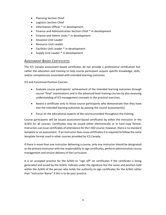- Planning Section Chief
- Logistics Section Chief
- Information Officer \* in development
- Finance and Administration Section Chief \* in development
- Finance and Admin Units \* in development
- Situation Unit Leader
- Resource Unit Leader
- Facilities Unit Leader \* in development
- Supply Unit Leader \* in development

## ASSESSMENT BASED CERTIFICATES

The ICS Canada assessment-based certificates do not provide a professional certification but rather the *education and training* to help course participant acquire specific knowledge, skills, and/or competencies associated with intended learning outcomes.

ICS and Functional Position Courses:

- Evaluate course participants' achievement of the intended learning outcomes through course "final" examinations and in the advanced level training courses by also assessing understanding of ICS management concepts in the practical exercises.
- Award a certificate only to those course participants who demonstrate that they have met the intended learning outcomes by passing the course assessment(s).
- Focus on the educational aspects of the course provided throughout the training.

Course participants will be issued assessment-based certificates by either the instructor or the A/AHJ for all courses. Certificates may be issued either electronically or in hard copy format. Instructors can issue certificates of attendance for the I-402 course; however, there is no standard template or an assessment. If an instructor does issue certificates it is required to follow the same template format used in other courses provided by ICS Canada.

If there is more than one instructor delivering a course, only one instructor should be designated as the primary instructor with the responsibility to sign certificates, perform administrative course management and ensure delivery of the curriculum.

It is an accepted practice for the A/AHJ to "sign off" on certificates if the certificate is being generated and issued by the A/AHJ. Indicate under the signature line the name and position held within the A/AHJ of the person who holds the authority to sign certificates for the A/AHJ rather than "Instructor Name" if this is to be your practice.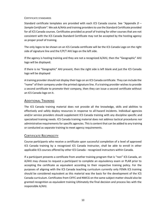#### CERTIFICATE STANDARDS

Standard certificate templates are provided with each ICS Canada course. See "*Appendix D – Sample Certificate".* We ask A/AHJs and training providers to use the Standard Certificate provided for all ICS Canada courses. Certificates provided as proof of training for other courses that are not consistent with the ICS Canada Standard Certificate may not be accepted by the hosting agency as proper proof of training.

The only logos to be shown on an ICS Canada certificate will be the ICS Canada Logo on the right side of signature line and the F/P/T AHJ logo on the left side.

If the agency is hosting training and they are not a recognized A/AHJ, then the "Geographic" AHJ logo will be displayed.

If there is no "Geographic" AHJ present, then the right side is left blank and just the ICS Canada logo will be displayed

A training provider should not display their logo on an ICS Canada certificate. They can include the "name" of their company under the printed signature line. If a training provider wishes to provide a second certificate to promote their company, then they can issue a second certificate without an ICS Canada logo on it.

## **ADDITIONAL TRAINING**

The ICS Canada training material does not provide all the knowledge, skills and abilities to effectively and safely deploy resources in response to all-hazard incidents. Individual agencies and/or service providers should supplement ICS Canada training with any discipline specific and specialized training needs. ICS Canada training material does not address tactical procedures nor administrative requirements for specific agencies. This is content that can be added to any training or conducted as separate training to meet agency requirements.

## CERTIFICATE RECIPROCITY

Course participants who receive a certificate upon successful completion of a level of approved ICS Canada training by a recognized ICS Canada Instructor, shall be able to enroll in other applicable ICS courses offered by other ICS Canada - recognized instructors within Canada.

If a participant presents a certificate from another training program that is "non" ICS Canada, an A/AHJ may choose to request a participant to complete an equivalency exam or PLAR prior to accepting the certificate as equivalent according to their respective training policy. For the purposes of aligning with the ICS Canada teaching curriculum currently only FEMA ICS training should be considered equivalent as this material was the basis for the development of the ICS Canada curriculum. Certificates from CIFFC and NWCG on the same subject matter should also be granted recognition as equivalent training Ultimately the final decision and process lies with the responsible A/AHJ.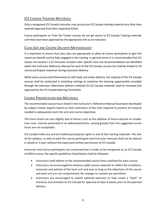# ICS CANADA TRAINING MATERIALS

Only a recognized ICS Canada Instructor may access/use ICS Canada training material once they have received approval from their respective A/AHJ**.** 

Course participants on Train the Trainer courses do not get access to ICS Canada Training materials until they have been approved by the appropriate AHJ as an Instructor.

## CLASS SIZE AND COURSE DELIVERY METHODOLOGY

It is important to ensure that class sizes are appropriate to allow all course participants to gain the maximum benefit and be fully engaged in the training. In general terms it is recommended that ICS classes not exceed a 1:12 Instructor/student ratio. Specific class size recommendations are identified within the Instructor Reference Manual for each of the ICS Canada courses but shall be limited to 24 course participant maximum during classroom delivery.

While some courses lend themselves to self-study and online delivery, the majority of the ICS Canada courses shall be conducted in workshop settings to maximize the learning opportunities provided through the exercises. Alternative delivery methods for ICS Canada materials shall be reviewed and approved by the ICS Canada Steering Committee.

## COURSE PRESENTATION AND MATERIALS

The recommended course hours listed in the Instructor's Reference Manual have been developed by subject matter experts based on their estimation of the time required to present all material needed to adequately teach the unit and course objectives.

The hours listed can vary slightly due to factors such as the addition of local materials or smaller class sizes. Courses presented in an abbreviated form, varying greatly from the suggested course hours are not acceptable.

ICS Canada holds any and all intellectual property rights in and of the training materials. The text of the syllabus, as well as both the course participant and instructor manuals shall not be altered in whole or in part without the expressed written permission of ICS Canada.

Instructor and course participants are cautioned that in order to be recognized as an ICS Canada certified course, the specific guidelines listed below shall be followed:

- Instructors shall adhere to the recommended course hours outlined for each course.
- Instructors are encouraged to enhance (add) course materials to reflect the conditions, resources and policies of the local unit and area as long as the objectives of the course and each unit are not compromised. No changes to content are permitted.
- Instructors are encouraged to submit optional exercises to help create a "bank" of scenarios and activities to ICS Canada for approval at least 4 weeks prior to the planned delivery.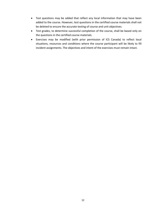- Test questions may be added that reflect any local information that may have been added to the course. However, test questions in the certified course materials shall not be deleted to ensure the accurate testing of course and unit objectives.
- Test grades, to determine successful completion of the course, shall be based only on the questions in the certified course materials.
- Exercises may be modified (with prior permission of ICS Canada) to reflect local situations, resources and conditions where the course participant will be likely to fill incident assignments. The objectives and intent of the exercises must remain intact.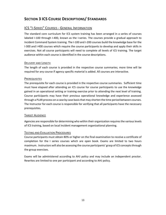# **SECTION 3 ICS COURSE DESCRIPTIONS/ STANDARDS**

## ICS "I-SERIES" COURSES - GENERAL INFORMATION

The standard core curriculum for ICS system training has been arranged in a series of courses labeled I-100 through I-400, known as the I-series. The courses provide a gradual approach to Incident Command System training. The I-100 and I-200 courses build the knowledge base for the I-300 and I-400 courses which require the course participants to develop and apply their skills in exercises. Not all course participants will need to complete all levels of ICS training. The target audience within each course is identified in the course descriptions.

## DELIVERY AND LENGTH

The length of each course is provided in the respective course summaries; more time will be required for any course if agency specific material is added. All courses are interactive.

## **PREREQUISITES**

The prerequisite for each course is provided in the respective course summaries. Sufficient time must have elapsed after attending an ICS course for course participants to use the knowledge gained in an operational setting or training exercise prior to attending the next level of training. Course participants may have their previous operational knowledge and experience assessed through a PLAR process on a case by case basis that may shorten the time period between courses. The Instructor for each course is responsible for verifying that all participants have the necessary prerequisites.

## TARGET AUDIENCE

Agencies are responsible for determining who within their organization requires the various levels of ICS training, based on local incident management organizational planning.

## **TESTING AND EVALUATION PROCEDURES**

Course participants must obtain 80% or higher on the final examination to receive a certificate of completion for the I series courses which are open book. Exams are limited to two hours maximum. Instructors will also be assessing the course participants' grasp of ICS concepts through the group exercises.

Exams will be administered according to AHJ policy and may include an independent proctor. Rewrites are limited to one per participant and according to AHJ policy.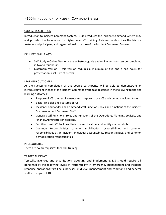## I-100 INTRODUCTION TO INCIDENT COMMAND SYSTEM

## COURSE DESCRIPTION

Introduction to Incident Command System, I-100 introduces the Incident Command System (ICS) and provides the foundation for higher level ICS training. This course describes the history, features and principles, and organizational structure of the Incident Command System.

#### DELIVERY AND LENGTH

- Self-Study Online Version the self-study guide and online versions can be completed in two to four hours.
- Classroom Version this version requires a minimum of five and a half hours for presentation, exclusive of breaks.

#### LEARNING OUTCOMES

At the successful completion of this course participants will be able to demonstrate an introductory knowledge of the Incident Command System as described in the following topics and learning outcomes:

- Purpose of ICS: the requirements and purpose to use ICS and common incident tasks.
- Basic Principles and Features of ICS
- Incident Commander and Command Staff Functions: roles and functions of the Incident Commander and Command Staff.
- General Staff Functions: roles and functions of the Operations, Planning, Logistics and Finance/Administration sections.
- Facilities: basic ICS facilities, their use and location, and facility map symbols.
- Common Responsibilities: common mobilization responsibilities and common responsibilities at an incident, individual accountability responsibilities, and common demobilization responsibilities.

#### PREREQUISITES

There are no prerequisites for I-100 training.

#### TARGET AUDIENCE

Typically, agencies and organizations adopting and implementing ICS should require all personnel at the following levels of responsibility in emergency management and incident response operations: first-line supervisor, mid-level management and command and general staff to complete I-100.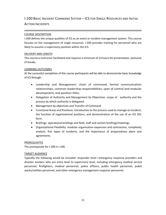# I-200 BASIC INCIDENT COMMAND SYSTEM – ICS FOR SINGLE RESOURCES AND INITIAL ACTION INCIDENTS

## COURSE DESCRIPTION

I-200 defines the unique qualities of ICS as an event or incident management system. This course focuses on the management of single resources. I-200 provides training for personnel who are likely to assume a supervisory position within the ICS.

## DELIVERY AND LENGTH

This course is Instructor facilitated and requires a minimum of 14 hours for presentation, exclusive of breaks.

## LEARNING OUTCOMES

At the successful completion of this course participants will be able to demonstrate basic knowledge of ICS through:

- Leadership and Management: chain of command, formal communication relationships, common leadership responsibilities, span of control and modular development, and position titles.
- Delegation of Authority and Management by Objectives: scope of authority and the process by which authority is delegated.
- Management by objectives and Transfer of Command
- Functional Areas and Positions: introduction to the process used to manage an incident, the function of organizational positions, and demonstration of the use of an ICS 201 form.
- Briefings: operational briefings and field, staff and section briefings/meetings.
- Organizational Flexibility: modular organization expansion and contraction, complexity analysis, five types of incidents, and the importance of preparedness plans and agreements.

## PREREQUISITES

The prerequisite for I-200 is I-100.

## TARGET AUDIENCE

Typically the following would be included: responder level—emergency response providers and disaster workers who are entry level to supervisory level, including emergency medical service personnel, firefighters, medical personnel, police officers, public health personnel, public works/utilities personnel, and other emergency management response personnel.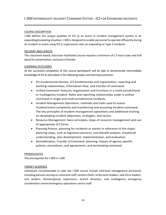## COURSE DESCRIPTION

I-300 defines the unique qualities of ICS as an event or incident management system in an expanding/escalating situation. I-300 is designed to enable personnel to operate efficiently during an incident or event using ICS in supervisory roles on expanding or Type 3 Incidents.

#### DELIVERY AND LENGTH

This classroom based, Instructor facilitated course requires a minimum of 17 hours (two and half days) for presentation, exclusive of breaks.

## LEARNING OUTCOMES

At the successful completion of this course participants will be able to demonstrate intermediate knowledge of ICS as described in the following topics and learning outcomes:

- ICS Fundamentals Review: ICS fundamentals and organization, reporting and working relationships, information flow, and transfer of command.
- Unified Command: features, organization and functions in a multi-jurisdictional or multiagency incident. Roles and reporting relationships under a unified command in single and multi-jurisdictional incidents.
- Incident Management Operations: methods and tools used to assess incident/event complexity and transferring and assuming incident command. The key principles of incident management operations and additional training on developing incident objectives, strategies, and tactics.
- Resource Management: basic principles, steps of resource management and use of appropriate ICS forms.
- Planning Process: planning for incidents or events in reference to the major planning steps, such as logistical concerns, cost-benefit analysis, situational understanding, plan development, implementation, and evaluation.
- Demobilization, Transfer of Command: planning, impact of agency specific policies, procedures, and agreements, and terminating command

## **PREREQUISITES**

The prerequisite for I-300 is I-200.

## TARGET AUDIENCE

Individuals recommended to take the I-300 course include mid-level management personnel, including persons serving as command staff, section chiefs, strike team leaders, task force leaders, unit leaders, division/group supervisors, branch directors, and multiagency emergency coordination centre/emergency operations centre staff.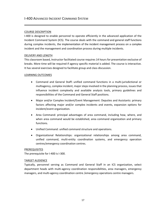## I-400 ADVANCED INCIDENT COMMAND SYSTEM

## COURSE DESCRIPTION

I-400 is designed to enable personnel to operate efficiently in the advanced application of the Incident Command System (ICS). The course deals with the command and general staff functions during complex incidents, the implementation of the incident management process on a complex incident and the management and coordination process during multiple incidents.

#### DELIVERY AND LENGTH

This classroom based, Instructor facilitated course requires 14 hours for presentation exclusive of breaks. More time will be required if agency specific material is added. The course is interactive. It has several exercises designed to facilitate group and class discussion.

#### LEARNING OUTCOMES

- Command and General Staff**:** unified command functions in a multi-jurisdictional or multiagency, complex incident, major steps involved in the planning process, issues that influence incident complexity and available analysis tools, primary guidelines and responsibilities of the Command and General Staff positions.
- Major and/or Complex Incident/Event Management: Deputies and Assistants: primary factors affecting major and/or complex incidents and events, expansion options for incident/event organization.
- Area Command: principal advantages of area command, including how, where, and when area command would be established, area command organization and primary functions.
- Unified Command: unified command structure and operations.
- Organizational Relationships: organizational relationships among area command, unified command, multi-entity coordination systems, and emergency operation centres/emergency coordination centres.

#### PREREQUISITES

The prerequisite for I-400 is I-300.

#### TARGET AUDIENCE

Typically, personnel serving as Command and General Staff in an ICS organization, select department heads with multi-agency coordination responsibilities, area managers, emergency managers, and multi-agency coordination centre /emergency operations centre managers.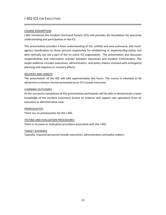## I-402 ICS FOR EXECUTIVES

## COURSE DESCRIPTION

I-402 introduces the Incident Command System (ICS) and provides the foundation for executive understanding and participation in the ICS.

This presentation provides a basic understanding of ICS, unified and area command, and multiagency coordination to those persons responsible for establishing or implementing policy, but who normally are not a part of the on-scene ICS organization. The presentation also discusses responsibilities and information transfer between Executives and Incident Commanders. The target audience includes executives, administrators, and policy makers involved with emergency planning and response or recovery efforts.

#### DELIVERY AND LENGTH

The presentation of the 402 will take approximately two hours. The course is intended to be delivered in a lecture format presented by an ICS Canada Instructor.

#### LEARNING OUTCOMES

At the successful completion of this presentation participants will be able to demonstrate a basic knowledge of the Incident Command System to endorse and support site operations from an executive or administrative view.

PREREQUISITES There are no prerequisites for the I-402.

## TESTING AND EVALUATION PROCEDURES

There is no exam or evaluation procedure associated with the I-402.

#### TARGET AUDIENCE

Typically, required personnel include executives, administrators and policy makers.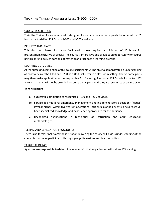#### COURSE DESCRIPTION

Train the Trainer Awareness Level is designed to prepare course participants become future ICS Instructor to deliver ICS Canada I-100 and I-200 curricula.

## DELIVERY AND LENGTH

This classroom based Instructor facilitated course requires a minimum of 12 hours for presentation, exclusive of breaks. The course is interactive and provides an opportunity for course participants to deliver portions of material and facilitate a learning exercise.

#### LEARNING OUTCOMES

At the successful completion of this course participants will be able to demonstrate an understanding of how to deliver the I-100 and I-200 as a Unit Instructor in a classroom setting. Course participants may then make application to the responsible AHJ for recognition as an ICS Canada Instructor. ICS training materials will not be provided to course participants until they are recognized as an Instructor.

#### **PREREQUISITES**

- a) Successful completion of recognized I-100 and I-200 courses.
- b) Service in a mid-level emergency management and incident response position ("leader" level or higher) within five years in operational incidents, planned events, or exercises OR have specialized knowledge and experience appropriate for the audience.
- c) Recognized qualifications in techniques of instruction and adult education methodologies.

## TESTING AND EVALUATION PROCEDURES

There is no formal final exam; the instructor delivering the course will assess understanding of the concepts by course participants through group discussions and team activities.

#### TARGET AUDIENCE

Agencies are responsible to determine who within their organization will deliver ICS training.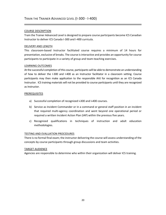#### COURSE DESCRIPTION

Train the Trainer Advanced Level is designed to prepare course participants become ICS Canadian Instructor to deliver ICS Canada I-300 and I-400 curricula.

#### DELIVERY AND LENGTH

This classroom-based Instructor facilitated course requires a minimum of 14 hours for presentation, exclusive of breaks. The course is interactive and provides an opportunity for course participants to participate in a variety of group and team-teaching exercises.

#### LEARNING OUTCOMES

At the successful completion of this course, participants will be able to demonstrate an understanding of how to deliver the I-300 and I-400 as an Instructor facilitator in a classroom setting. Course participants may then make application to the responsible AHJ for recognition as an ICS Canada Instructor. ICS training materials will not be provided to course participants until they are recognized as Instructor.

#### PREREQUISITES

- a) Successful completion of recognized I-300 and I-400 courses.
- b) Service as Incident Commander or in a command or general staff position in an incident that required multi-agency coordination and went beyond one operational period or required a written Incident Action Plan (IAP) within the previous five years.
- c) Recognized qualifications in techniques of instruction and adult education methodologies.

## TESTING AND EVALUATION PROCEDURES

There is no formal final exam; the instructor delivering the course will assess understanding of the concepts by course participants through group discussions and team activities.

#### TARGET AUDIENCE

Agencies are responsible to determine who within their organization will deliver ICS training.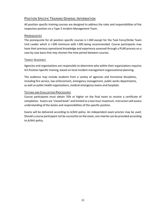## POSITION SPECIFIC TRAINING GENERAL INFORMATION

All position specific training courses are designed to address the roles and responsibilities of the respective position on a Type 3 Incident Management Team.

## **PREREQUISITES**

The prerequisite for all position specific courses is I-300 except for the Task Force/Strike Team Unit Leader which is I-200 minimum with I-300 being recommended. Course participants may have their previous operational knowledge and experience assessed through a PLAR process on a case by case basis that may shorten the time period between courses.

## TARGET AUDIENCE

Agencies and organizations are responsible to determine who within their organizations requires ICS Position Specific training, based on local incident management organizational planning.

The audience may include students from a variety of agencies and functional disciplines, including fire service, law enforcement, emergency management, public works departments, as well as public health organizations, medical emergency teams and hospitals.

## **TESTING AND EVALUATION PROCEDURES**

Course participants must obtain 70% or higher on the final exam to receive a certificate of completion. Exams are "closed book" and limited to a two-hour maximum. Instructors will assess understanding of the duties and responsibilities of the specific position.

Exams will be delivered according to A/AHJ policy. An independent exam proctor may be used. Should a course participant not be successful on the exam, one rewrite can be provided according to A/AHJ policy.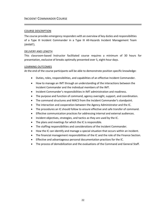## INCIDENT COMMANDER COURSE

#### COURSE DESCRIPTION

The course provides emergency responders with an overview of key duties and responsibilities of a Type III Incident Commander in a Type III All-Hazards Incident Management Team (AHIMT).

#### DELIVERY AND LENGTH

This classroom-based Instructor facilitated course requires a minimum of 30 hours for presentation, exclusive of breaks optimally presented over 5, eight-hour days.

#### LEARNING OUTCOMES

- Duties, roles, responsibilities, and capabilities of an effective Incident Commander.
- How to manage an IMT through an understanding of the interactions between the Incident Commander and the individual members of the IMT.
- Incident Commander's responsibilities in IMT administration and readiness.
- The purpose and function of command, agency oversight, support, and coordination.
- The command structures and MACS from the Incident Commander's standpoint.
- The interaction and cooperation between the Agency Administrator and the IC.
- The procedures an IC should follow to ensure effective and safe transfer of command.
- Effective communication practices for addressing internal and external audiences.
- Incident objectives, strategies, and tactics as they are used by the IC.
- The plans and meetings for which the IC is responsible.
- The staffing responsibilities and considerations of the Incident Commander.
- How the IC can identify and manage a special situation that occurs within an incident.
- The financial management responsibilities of the IC and the role of the Finance Section.
- Effective and advantageous personal documentation practices for the IC.
- The process of demobilization and the evaluations of the Command and General Staff.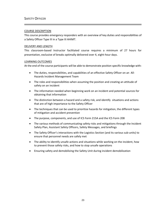## **SAFETY OFFICER**

#### COURSE DESCRIPTION

This course provides emergency responders with an overview of key duties and responsibilities of a Safety Officer Type III in a Type III AHIMT.

#### DELIVERY AND LENGTH

This classroom-based Instructor facilitated course requires a minimum of 27 hours for presentation, exclusive of breaks optimally delivered over 4, eight-hour days.

#### LEARNING OUTCOMES

- The duties, responsibilities, and capabilities of an effective Safety Officer on an All-Hazards Incident Management Team
- The roles and responsibilities when assuming the position and creating an attitude of safety on an incident
- The information needed when beginning work on an incident and potential sources for obtaining that information
- The distinction between a hazard and a safety risk, and identify situations and actions that are of high importance to the Safety Officer
- The techniques that can be used to prioritize hazards for mitigation, the different types of mitigation and accident prevention
- The purpose, components, and use of ICS Form 215A and the ICS Form 208
- The various methods of communicating safety risks and mitigations through the Incident Safety Plan, Assistant Safety Officers, Safety Messages, and briefings
- The Safety Officer's interactions with the Logistics Section (and its various sub-units) to ensure that personnel needs are safely met
- The ability to identify unsafe actions and situations while working on the incident, how to prevent those safety risks, and how to stop unsafe operations
- Ensuring safety and demobilizing the Safety Unit during incident demobilization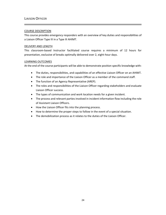## LIAISON OFFICER

#### COURSE DESCRIPTION

This course provides emergency responders with an overview of key duties and responsibilities of a Liaison Officer Type III in a Type III AHIMT.

## DELIVERY AND LENGTH

This classroom-based Instructor facilitated course requires a minimum of 12 hours for presentation, exclusive of breaks optimally delivered over 2, eight-hour days.

#### LEARNING OUTCOMES

- The duties, responsibilities, and capabilities of an effective Liaison Officer on an AHIMT.
- The role and importance of the Liaison Officer as a member of the command staff.
- The function of an Agency Representative (AREP).
- The roles and responsibilities of the Liaison Officer regarding stakeholders and evaluate Liaison Officer success.
- The types of communication and work location needs for a given incident.
- The process and relevant parties involved in incident information flow including the role of Assistant Liaison Officers.
- How the Liaison Officer fits into the planning process.
- How to determine the proper steps to follow in the event of a special situation.
- The demobilization process as it relates to the duties of the Liaison Officer.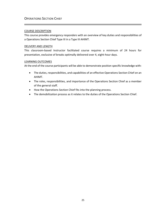## OPERATIONS SECTION CHIEF

#### COURSE DESCRIPTION

This course provides emergency responders with an overview of key duties and responsibilities of a Operations Section Chief Type III in a Type III AHIMT.

## DELIVERY AND LENGTH

This classroom-based Instructor facilitated course requires a minimum of 24 hours for presentation, exclusive of breaks optimally delivered over 4, eight-hour days.

#### LEARNING OUTCOMES

- The duties, responsibilities, and capabilities of an effective Operations Section Chief on an AHIMT.
- The roles, responsibilities, and importance of the Operations Section Chief as a member of the general staff.
- How the Operations Section Chief fits into the planning process.
- The demobilization process as it relates to the duties of the Operations Section Chief.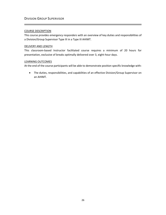## DIVISION GROUP SUPERVISOR

#### COURSE DESCRIPTION

This course provides emergency responders with an overview of key duties and responsibilities of a Division/Group Supervisor Type III in a Type III AHIMT.

## DELIVERY AND LENGTH

This classroom-based Instructor facilitated course requires a minimum of 20 hours for presentation, exclusive of breaks optimally delivered over 3, eight-hour days.

#### LEARNING OUTCOMES

At the end of the course participants will be able to demonstrate position specific knowledge with:

• The duties, responsibilities, and capabilities of an effective Division/Group Supervisor on an AHIMT.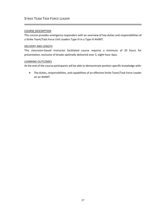## STRIKE TEAM TASK FORCE LEADER

#### COURSE DESCRIPTION

This course provides emergency responders with an overview of key duties and responsibilities of a Strike Team/Task Force Unit Leaders Type III in a Type III AHIMT.

## DELIVERY AND LENGTH

This classroom-based Instructor facilitated course requires a minimum of 20 hours for presentation, exclusive of breaks optimally delivered over 3, eight-hour days.

#### LEARNING OUTCOMES

At the end of the course participants will be able to demonstrate position specific knowledge with:

• The duties, responsibilities, and capabilities of an effective Strike Team/Task Force Leader on an AHIMT.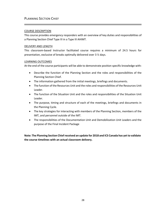## PLANNING SECTION CHIEF

## COURSE DESCRIPTION

This course provides emergency responders with an overview of key duties and responsibilities of a Planning Section Chief Type III in a Type III AHIMT.

## DELIVERY AND LENGTH

This classroom-based Instructor facilitated course requires a minimum of 24.5 hours for presentation, exclusive of breaks optimally delivered over 3 ½ days.

#### LEARNING OUTCOMES

At the end of the course participants will be able to demonstrate position specific knowledge with:

- Describe the function of the Planning Section and the roles and responsibilities of the Planning Section Chief.
- The information gathered from the initial meetings, briefings and documents.
- The function of the Resources Unit and the roles and responsibilities of the Resources Unit Leader.
- The function of the Situation Unit and the roles and responsibilities of the Situation Unit Leader.
- The purpose, timing and structure of each of the meetings, briefings and documents in the Planning Cycle.
- The key strategies for interacting with members of the Planning Section, members of the IMT, and personnel outside of the IMT.
- The responsibilities of the Documentation Unit and Demobilization Unit Leaders and the purpose of the Final Incident Package

**Note: The Planning Section Chief received an update for 2018 and ICS Canada has yetto validate the course timelines with an actual classroom delivery.**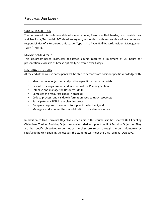## RESOURCES UNIT LEADER

## COURSE DESCRIPTION

The purpose of this professional development course, Resources Unit Leader, is to provide local and Provincial/Territorial (P/T) -level emergency responders with an overview of key duties and responsibilities of a Resources Unit Leader Type III in a Type III All Hazards Incident Management Team (AHIMT).

## DELIVERY AND LENGTH

This classroom-based Instructor facilitated course requires a minimum of 28 hours for presentation, exclusive of breaks optimally delivered over 4 days.

## LEARNING OUTCOMES

At the end of the course participants will be able to demonstrate position specific knowledge with:

- Identify course objectives and position-specific resourcematerials;
- Describe the organization and functions of the Planning Section;
- Establish and manage the Resources Unit;
- Complete the resources check-in process;
- Collect, process, and validate information used to trackresources;
- Participate as a RESL in the planning process;
- Complete required documents to support the incident;and
- Manage and document the demobilization of incidentresources.

In addition to Unit Terminal Objectives, each unit in this course also has several Unit Enabling Objectives. The Unit Enabling Objectives are included to support the Unit Terminal Objective. They are the specific objectives to be met as the class progresses through the unit; ultimately, by satisfying the Unit Enabling Objectives, the students will meet the Unit Terminal Objective.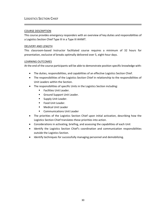## LOGISTICS SECTION CHIEF

#### COURSE DESCRIPTION

This course provides emergency responders with an overview of key duties and responsibilities of a Logistics Section Chief Type III in a Type III AHIMT.

## DELIVERY AND LENGTH

This classroom-based Instructor facilitated course requires a minimum of 32 hours for presentation, exclusive of breaks optimally delivered over 5, eight-hour days.

#### LEARNING OUTCOMES

- The duties, responsibilities, and capabilities of an effective Logistics Section Chief.
- The responsibilities of the Logistics Section Chief in relationship to the responsibilities of Unit Leaders within the Section.
- The responsibilities of specific Units in the Logistics Section including:
	- **Facilities Unit Leader.**
	- Ground Support Unit Leader.
	- **Supply Unit Leader.**
	- **Food Unit Leader.**
	- **Medical Unit Leader**
	- **EXECOMMUNICATIONS Unit Leader**
- The priorities of the Logistics Section Chief upon initial activation, describing how the Logistics Section Chief translates these priorities into action.
- Considerations in activating, briefing, and assessing the capabilities of each Unit
- Identify the Logistics Section Chief's coordination and communication responsibilities outside the Logistics Section.
- Identify techniques for successfully managing personnel and demobilizing.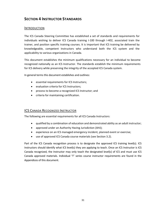# **SECTION 4 INSTRUCTOR STANDARDS**

## INTRODUCTION

The ICS Canada Steering Committee has established a set of standards and requirements for individuals wishing to deliver ICS Canada training I-100 through I-402, associated train the trainer, and position specific training courses. It is important that ICS training be delivered by knowledgeable, competent Instructors who understand both the ICS system and the applicability to various organizations in Canada.

This document establishes the minimum qualifications necessary for an individual to become recognized nationally as an ICS Instructor. The standards establish the minimum requirements for ICS delivery while preserving the integrity of the accepted ICS Canada system.

In general terms this document establishes and outlines:

- essential requirements for ICS Instructors;
- evaluation criteria for ICS Instructors;
- process to become a recognized ICS Instructor; and
- criteria for maintaining certification.

## ICS CANADA RECOGNIZED INSTRUCTOR

The following are essential requirements for all ICS Canada Instructors:

- qualified by a combination of education and demonstrated ability as an adult instructor;
- approved under an Authority Having Jurisdiction (AHJ);
- experience on an ICS managed emergency incident, planned event or exercise;
- use of approved ICS Canada course materials (see Section 3.2).

Part of the ICS Canada recognition process is to designate the approved ICS training level(s). ICS Instructors should identify what ICS level(s) they are applying to teach. Once an ICS Instructor is ICS Canada recognized, the Instructor may only teach the designated level(s) of ICS and must use ICS Canada approved materials. Individual "I" series course instructor requirements are found in the Appendices of this document.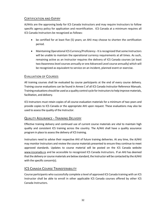## CERTIFICATION AND EXPIRY

A/AHJs are the approving body for ICS Canada Instructors and may require Instructors to follow specific agency policy for application and recertification. ICS Canada at a minimum requires all ICS Canada Instructors be recognized as follows:

- be certified for at least five (5) years; an AHJ may choose to shorten the certification period.
- Maintaining Operational ICS Currency/Proficiency It is recognized that some Instructors will be unable to maintain the operational currency requirements at all times. As such, remaining active as an Instructor requires the delivery of ICS Canada courses (at least two Awareness level courses annually or one Advanced Level course annually) which will be recognized as equivalent to service on an incident, planned event or exercise.

## EVALUATION OF COURSES

All training courses shall be evaluated by course participants at the end of every course delivery. Training course evaluations can be found in Annex C of all ICS Canada Instructor Reference Manuals. Training evaluations should be used as a quality control cycle for Instructorsto help improve materials, facilitation, and delivery.

ICS Instructors must retain copies of all course evaluation materials for a minimum of two years and provide copies to ICS Canada or the appropriate AHJ upon request. These evaluations may also be used to assess the quality of the Instructor.

## QUALITY ASSURANCE - TRAINING DELIVERY

Effective training delivery and continued use of current course materials are vital to maintain high quality and consistent ICS training across the country. The A/AHJ shall have a quality assurance program in place to assess the delivery of ICS training.

Instructors need to advise their respective AHJ of future training deliveries. At any time, the A/AHJ may monitor Instructors and review the course materials presented to ensure they continue to meet approved standards. Updates to course material will be posted on the ICS Canada website www.icscanada.ca and be accessible to recognized ICS Canada Instructors. If an AHJ has deemed that the delivery or course materials are below standard, the Instructor will be contacted by the A/AHJ with the specific concern(s).

## ICS CANADA COURSE TRANSFERABILITY

Course participants who successfully complete a level of approved ICS Canada training with an ICS Instructor shall be able to enroll in other applicable ICS Canada courses offered by other ICS Canada Instructors.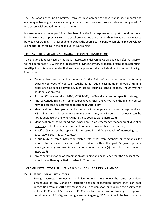The ICS Canada Steering Committee, through development of these standards, supports and encourages training equivalency recognition and certificate reciprocity between recognized ICS Instructors without additional assessments.

In cases where a course participant has been inactive in a response or support role either on an incident/event or a practical exercise or where a period of no longer than five years have elapsed between ICS training, it is reasonable to expect the course participant to complete an equivalency exam prior to enrolling in the next level of ICS training.

## PROCESS TO BECOME AN ICS CANADA RECOGNIZED INSTRUCTOR

To be nationally recognized, an individual interested in delivering ICS Canada course(s) must apply to the appropriate AHJ within their respective province, territory or federal organization according to AHJ policy. It is recommended that Instructor applications shall include at minimum the following information:

- Training background and experience in the field of instruction (specific training experience; types of course(s) taught; target audiences; number of years' training experience at specific levels i.e. high school/technical school/college/ industry/other adult education etc.);
- A list of ICS courses taken: I-100, I-200, I-300, I- 400 and any position specific training;
- Any ICS Canada Train the Trainer course taken. FEMA and CIFFC Train the Trainer courses may be accepted as equivalent according to AHJ Policy;
- Identification of background and experience in emergency response management and ICS training (specific emergency management and/or ICS courses previously taught, target audience(s), and when/where these courses were instructed);
- Identification of background and experience in an emergency management discipline (specific incident experience, incident command position filled, and when.)
- Specific ICS courses the applicant is interested in and feels capable of instructing (i.e. I-100, I-200, I-300, I-400, I-402 etc.);
- A **minimum** of three instruction-related references from agencies or companies for whom the applicant has worked or trained within the past 5 years (provide agency/company representative name, contact number(s), and list the course(s) instructed).
- Any other information or combination of training and experience that the applicant feels would make them qualified to instruct ICS courses.

## FOREIGN INSTRUCTORS DELIVERING ICS CANADA TRAINING IN CANADA

P/T AHJS AND FOREIGN INSTRUCTORS

Foreign instructors requesting to deliver training must follow the same recognition procedures as any Canadian instructor seeking recognition. Before they can seek recognition from an AHJ, they must have a Canadian sponsor requiring their services to deliver ICS Canada ICS courses or ICS Canada Functional Position training. The sponsor could be a municipality, another government agency, NGO, or it could be from industry.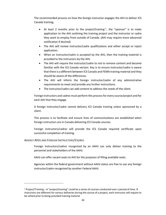The recommended process on how the foreign instructor engages the AHJ to deliver ICS Canada training;

- At least 2 months prior to the project/training  $\frac{1}{2}$  $\frac{1}{2}$  $\frac{1}{2}$ , the "sponsor" is to make application to the AHJ outlining the training project and the instructor or cadre they want to employ from outside of Canada. (AHJ may require more advanced notification if desired)
- The AHJ will review instructor/cadre qualifications and either accept or reject application.
- When an instructor/cadre is accepted by the AHJ, then the training material is provided to the instructors by the AHJ.
- The AHJ will require the instructor/cadre to not to remove content and become familiar with the ICS Canada version. Key is to ensure instructor/cadre is aware that there is a different between ICS Canada and FEMA training material and they should be aware of the differences.
- The AHJ will inform the foreign instructor/cadre of any administrative requirements to meet and provide any further instructions.
- The instructor/cadre can add content to address the needs of the client.

Foreign instructors and cadres must perform this process for every course/project and for each AHJ that they engage.

A foreign instructor/cadre cannot delivery ICS Canada training unless sponsored by a client.

This process is to facilitate and ensure lines of communications are established when foreign instructors are in Canada delivering ICS Canada courses.

Foreign instructors/cadres will provide the ICS Canada required certificate upon successful completion of training.

## AGENCY AHJS AND FOREIGN INSTRUCTORS/CADRES

 $\overline{a}$ 

Foreign Instructors/cadres recognized by an AAHJ can only deliver training to the personnel and stakeholders of the AAHJ.

AAHJ can offer vacant seats to AHJ for the purposes of filling available seats.

Agencies within the federal government without AAHJ status are free to use any foreign instructor/cadre recognized by another Federal AAHJ.

<span id="page-40-0"></span> $1$  Project/Training  $-$  A "project/training" could be a series of courses conducted over a period of time. If instructors are different for various deliveries during the course of a project, each instructor will require to be vetted prior to being provided training material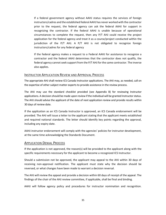If a federal government agency without AAHJ status requires the services of foreign instructors/cadres and the established federal AAHJ has never worked with the contractor prior to the request, the federal agency can ask the federal AAHJ for support in recognizing the contractor. If the federal AAHJ is unable because of operational circumstances to complete the request, then any P/T AHJ could receive the project application for the federal agency and treat it as a course/project conducted within the jurisdiction of the P/T AHJ. A P/T AHJ is not obligated to recognize foreign instructors/cadres for any federal agency

If the federal agency makes a request to a Federal AAHJ for assistance to recognize a contractor and the federal AAHJ determines that the contractor does not qualify, the federal agency cannot seek support from the P/T AHJ for the same contractor. The inverse also applies.

## INSTRUCTOR APPLICATION REVIEW AND APPROVAL PROCESS

The appropriate AHJ shall review ICS Canada Instructor applications. The AHJ may, as needed, call on the expertise of other subject matter experts to provide assistance in the review process.

The AHJ may use the standard checklist provided (see Appendix B) for reviewing Instructor applications. A decision should be made upon review if the individual will be granted Instructor status. The AHJ should advise the applicant of the date of next application review and provide results within 30 days of review date.

If the application as an ICS Canada Instructor is approved, an ICS Canada endorsement will be provided. The AHJ will issue a letter to the applicant stating that the applicant meets established and required national standards. The letter should identify key points regarding the approval, including any expiry date.

AAHJ instructor endorsement will comply with the agencies' policies for instructor development, at the same time acknowledging the Standards Document.

## APPLICATION DENIAL PROCESS

If the application is not approved, the reason(s) will be provided to the applicant along with the specific requirements necessary for the applicant to become a recognized ICS Instructor.

Should a submission not be approved, the applicant may appeal to the AHJ within 30 days of receiving non-approval notification. The applicant must state why the decision should be reversed, or what changes have been made to warrant a decision reversal.

The AHJ will review the appeal and provide a decision within 60 days of receipt of the appeal. The findings of the chair of the AHJ review committee, if applicable, shall be final and binding.

AAHJ will follow agency policy and procedures for instructor nomination and recognition.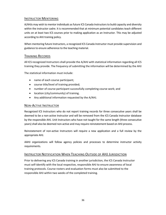## **INSTRUCTOR MENTORING**

A/AHJs may wish to mentor individuals as future ICS Canada Instructors to build capacity and diversity within the instructor cadre. It is recommended that at minimum potential candidates teach different units on at least two ICS courses prior to making application as an Instructor. This may be adjusted according to AHJ training policy.

When mentoring future Instructors, a recognized ICS Canada Instructor must provide supervision and guidance to ensure adherence to the teaching material.

## TRAINING RECORDS

All ICS recognized Instructors shall provide the A/AHJ with statistical information regarding all ICS training they provide. The frequency of submitting the information will be determined by the AHJ

The statistical information must include:

- name of each course participant;
- course title/level of training provided;
- number of course participant successfully completing course work; and
- location (city/community) of training.
- Any additional information requested by the A/AHJ.

## NON-ACTIVE INSTRUCTOR

Recognized ICS Instructors who do not report training records for three consecutive years shall be deemed to be a non-active Instructor and will be removed from the ICS Canada Instructor database by the responsible AHJ. Unit Instructors who have not taught for the same length (three consecutive years) shall also be deemed non-active and may require reinstatement based on AHJ process.

Reinstatement of non-active Instructors will require a new application and a full review by the appropriate AHJ.

AAHJ organizations will follow agency policies and processes to determine instructor activity requirements.

## INSTRUCTOR NOTIFICATION WHEN TEACHING OUTSIDE OF AHJ JURISDICTION

Prior to delivering any ICS Canada training in another jurisdiction, the ICS Canada Instructor must self-identify with the local respective, responsible AHJ to ensure awareness of local training protocols. Course rosters and evaluation forms must also be submitted to the responsible AHJ within two weeks of the completed training.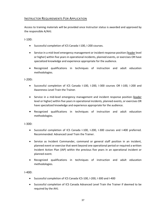## INSTRUCTOR REQUIREMENTS FOR APPLICATION

Access to training materials will be provided once Instructor status is awarded and approved by the responsible A/AHJ.

 $I-100$ :

- Successful completion of ICS Canada I-100, I-200 courses.
- Service in a mid-level emergency management or incident response position (leader level or higher) within five years in operational incidents, planned events, or exercises OR have specialized knowledge and experience appropriate for the audience.
- Recognized qualifications in techniques of instruction and adult education methodologies.

I-200**:**

- Successful completion of ICS Canada I-100, I-200, I-300 courses OR I-100, I-200 and Awareness Level Train the Trainer.
- Service in a mid-level emergency management and incident response position (leader level or higher) within five years in operational incidents, planned events, or exercises OR have specialized knowledge and experience appropriate for the audience.
- Recognized qualifications in techniques of instruction and adult education methodologies.

I-300:

- Successful completion of ICS Canada I-100, I-200, I-300 courses and I-400 preferred. Recommended: Advanced Level Train the Trainer.
- Service as Incident Commander, command or general staff position in an incident, planned event or exercise that went beyond one operational period or required a written Incident Action Plan (IAP) within the previous five years in an operational incident or planned event.
- Recognized qualifications in techniques of instruction and adult education methodologies.

 $1-400$ :

- Successful completion of ICS Canada ICS-100, I-200, I-300 and I-400
- Successful completion of ICS Canada Advanced Level Train the Trainer if deemed to be required by the AHJ.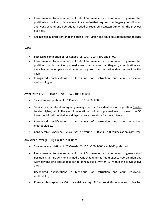- Recommended to have served as Incident Commander or in a command or general staff position in an incident, planned event or exercise that required multi-agency coordination and went beyond one operational period or required a written IAP within the previous five years.
- Recognized qualifications in techniques of instruction and adult education methodologies

I-402:

- Successful completion of ICS Canada ICS-100, I-200, I-300 and I-400.
- Recommended to have served as Incident Commander or in a command or general staff position in an incident or planned event that required multi-agency coordination and went beyond one operational period or required a written IAP within the previous five years.
- Recognized qualifications in techniques of instruction and adult education methodologies.

## AWARENESS LEVEL (I-100 & I-200) TRAIN THE TRAINER

- Successful completion of ICS Canada I-100, I-200, I-300
- Service in a mid-level emergency management and incident response position (leader level or higher) within five years in operational incidents, planned events, or exercises OR have specialized knowledge and experience appropriate for the audience.
- Recognized qualifications in techniques of instruction and adult education methodologies.
- Considerable Experience (5+ courses) delivering I-100 and I-200 courses as an Instructor.

## ADVANCED LEVEL (I-300) TRAIN THE TRAINER

- Successful completion of ICS Canada ICS-100, I-200, I-300 and I-400 preferred.
- Recommended to have served as Incident Commander or in a command or general staff position in an incident or planned event that required multi-agency coordination and went beyond one operational period or required a written IAP within the previous five years.
- Recognized qualifications in techniques of instruction and adult education methodologies.
- Considerable experience (5+ courses) delivering I-300 and/or 400 courses as an Instructor.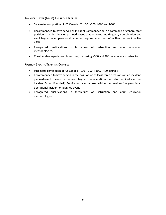## ADVANCED LEVEL (I-400) TRAIN THE TRAINER

- Successful completion of ICS Canada ICS-100, I-200, I-300 and I-400.
- Recommended to have served as Incident Commander or in a command or general staff position in an incident or planned event that required multi-agency coordination and went beyond one operational period or required a written IAP within the previous five years.
- Recognized qualifications in techniques of instruction and adult education methodologies.
- Considerable experience (5+ courses) delivering I-300 and 400 courses as an Instructor.

## POSITION SPECIFIC TRAINING COURSES

- Successful completion of ICS Canada I-100, I-200, I-300, I-400 courses.
- Recommended to have served in the position on at least three occasions on an incident, planned event or exercise that went beyond one operational period or required a written Incident Action Plan (IAP). Service to have occurred within the previous five years in an operational incident or planned event.
- Recognized qualifications in techniques of instruction and adult education methodologies.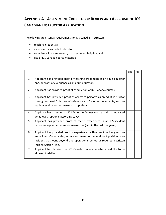# **APPENDIX A - ASSESSMENT CRITERIA FOR REVIEW AND APPROVAL OF ICS CANADIAN INSTRUCTOR APPLICATION**

The following are essential requirements for ICS Canadian Instructors:

- teaching credentials;
- experience as an adult educator;
- experience in an emergency management discipline, and
- use of ICS Canada course materials

|                |                                                                            | <b>Yes</b> | No |
|----------------|----------------------------------------------------------------------------|------------|----|
| $\mathbf{1}$   | Applicant has provided proof of teaching credentials as an adult educator  |            |    |
|                | and/or proof of experience as an adult educator.                           |            |    |
| $\mathfrak{D}$ | Applicant has provided proof of completion of ICS Canada courses           |            |    |
| $\overline{3}$ | Applicant has provided proof of ability to perform as an adult instructor  |            |    |
|                | through (at least 3) letters of reference and/or other documents, such as  |            |    |
|                | student evaluations or instructor appraisals                               |            |    |
| 4              | Applicant has attended an ICS Train the Trainer course and has indicated   |            |    |
|                | what level. (optional according to AHJ)                                    |            |    |
| 5              | Applicant has provided proof of recent experience in an ICS incident       |            |    |
|                | response, a planned event or an exercise (within the last five years)      |            |    |
| 6              | Applicant has provided proof of experience (within previous five years) as |            |    |
|                | an Incident Commander, or in a command or general staff position in an     |            |    |
|                | incident that went beyond one operational period or required a written     |            |    |
|                | Incident Action Plan.                                                      |            |    |
| $\overline{7}$ | Applicant has detailed the ICS Canada courses he /she would like to be     |            |    |
|                | allowed to deliver.                                                        |            |    |
|                |                                                                            |            |    |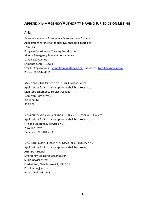# **APPENDIX B – AGENCY/AUTHORITY HAVING JURISDICTION LISTING**

## AHJS

ALBERTA - ALBERTA EMERGENCY MANAGEMENT AGENCY Applications for Instructor approval shall be directed to: Tom Cox Program Coordinator, Training Development Alberta Emergency Management Agency 14515-122 Avenue Edmonton, AB T5L 2W4 Email: Applications: aema.training@gov.ab.ca Inquiries: Tom.Cox@gov.ab.ca Phone: 780-644-4811

MANITOBA - THE OFFICE OF THE FIRE COMMISSIONER Applications for Instructor approval shall be directed to: Manitoba Emergency Services College 1601 Van Horne Ave E Brandon, MB R7A 7K2

NEWFOUNDLAND AND LABRADOR - FIRE AND EMERGENCY SERVICES Applications for Instructor approval shall be directed to: Fire and Emergency Services-NL 2 Wellon Drive Deer Lake, NL, A8A 2N3

NEW BRUNSWICK - EMERGENCY MEASURES ORGANIZATION Applications for Instructor approval shall be directed to: Attn: Don Tupper Emergency Measures Organization 65 Brunswick Street Fredericton, New Brunswick, E3B 1G5 Email: emo@gnb.ca Phone: 506 453-2133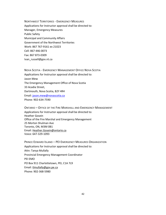NORTHWEST TERRITORIES - EMERGENCY MEASURES Applications for Instructor approval shall be directed to: Manager, Emergency Measures Public Safety Municipal and Community Affairs Government of the Northwest Territories Work: 867 767-9161 ex 21023 Cell: 867 446-0073 Fax: 867 873-0309 Ivan\_russell@gov.nt.ca

NOVA SCOTIA - EMERGENCY MANAGEMENT OFFICE NOVA SCOTIA Applications for Instructor approval shall be directed to: Jason Mew The Emergency Management Office of Nova Scotia 33 Acadia Street, Dartmouth, Nova Scotia, B2Y 4R4 Email: jason.mew@novascotia.ca Phone: 902-634-7590

ONTARIO – OFFICE OF THE FIRE MARSHALL AND EMERGENCY MANAGEMENT Applications for Instructor approval shall be directed to: Heather Gosein Office of the Fire Marshal and Emergency Management 25 Morton Shulman Ave Toronto, ON, M3M 0B1 Email: Heather.Gosein@ontario.ca Voice: 647-329-1093

PRINCE EDWARD ISLAND – PEI EMERGENCY MEASURES ORGANIZATION Applications for Instructor approval shall be directed to: Attn: Tanya Mullally Provincial Emergency Management Coordinator PEI EMO PO Box 911 Charlottetown, PEI, C1A 7L9 Email: tlmullally@gov.pe.ca Phone: 902-368-5980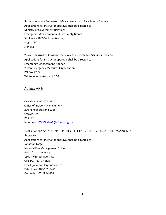SASKATCHEWAN - EMERGENCY MANAGEMENT AND FIRE SAFETY BRANCH Applications for Instructor approval shall be directed to: Ministry of Government Relations Emergency Management and Fire Safety Branch 5th Floor - 1855 Victoria Avenue, Regina, SK S4P 3T2

YUKON TERRITORY - COMMUNITY SERVICES - PROTECTIVE SERVICES DIVISION Applications for Instructor approval shall be directed to: Emergency Management Planner Yukon Emergency Measures Organization PO Box 2703 Whitehorse, Yukon, Y1A 2C6

#### **AGENCY AHJS**

CANADIAN COAST GUARD Office of Incident Management 200 Kent St Station 5S015 Ottawa, ON K1A 0E6 Inquiries: ICS-SCI.XNAT@dfo-mpo.gc.ca

PARKS CANADA AGENCY - NATURAL RESOURCE CONSERVATION BRANCH - FIRE MANAGEMENT PROGRAM Applications for Instructor approval shall be directed to: Jonathan Large National Fire Management Officer Parks Canada Agency 1300 – 635 8th Ave S.W. Calgary, AB. T2P 3M3 Email: jonathan.large@pc.gc.ca Telephone: 403-292-8471 Facsimile: 403-292-4404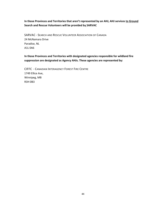**In those Provinces and Territories that aren't represented by an AHJ, AHJ services to Ground Search and Rescue Volunteers will be provided by SARVAC** 

SARVAC - SEARCH AND RESCUE VOLUNTEER ASSOCIATION OF CANADA 24 McNamara Drive Paradise, NL A1L 0A6

**In those Provinces and Territories with designated agencies responsible for wildland fire suppression are designated as Agency AHJs. These agencies are represented by:**

CIFFC - CANADIAN INTERAGENCY FOREST FIRE CENTRE 1749 Ellice Ave, Winnipeg, MB R3H 0B3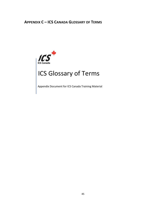# **APPENDIX C – ICS CANADA GLOSSARY OF TERMS**

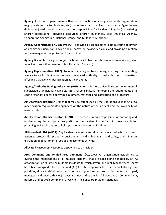**Agency:** A division of government with a specific function, or a nongovernmental organization (e.g., private contractor, business, etc.) that offers a particular kind of assistance. Agencies are defined as jurisdictional (having statutory responsibility for incident mitigation) or assisting and/or cooperating (providing resources and/or assistance). (See Assisting Agency, Cooperating Agency, Jurisdictional Agency, and Multiagency Incident.)

**Agency Administrator or Executive (AA)**: The Official responsible for administering policy for an agency or jurisdiction, having full authority for making decisions, and providing direction to the management organization for an incident.

**Agency Dispatch:** The agency or jurisdictional facility from which resources are allocated/sent to incidents (Another term for this is Expanded Dispatch).

**Agency Representative (AREP):** An individual assigned by a primary, assisting or cooperating agency to an incident who has been delegated authority to make decisions on matters affecting that agency's participation at the incident.

**Agency/Authority Having Jurisdiction (AHJ):** An organization, office, business, governmental subdivision or individual having statutory responsibility for enforcing the requirements of a code or standard or for approving equipment, material, and installation of a procedure.

**Air Operations Branch:** A Branch that may be established by the Operations Section Chief to meet mission requirements dependent on the nature of the incident and the availability of aerial assets.

**Air Operations Branch Director (AOBD):** The person primarily responsible for preparing and implementing the air operations portion of the Incident Action Plan. Also responsible for providing logistical support to helicopters operating on the incident.

**All Hazard/All-Risk (AHAR):** Any incident or event, natural or human-caused, which warrants action to protect life, property, environment, and public health and safety, and minimize disruption of governmental, social, and economic activities.

**Allocated Resources:** Resources dispatched to an incident.

**Area Command and Unified Area Command) (AC/UAC):** An organization established to oversee the management of 1) multiple incidents that are each being handled by an ICS organization, or 2) large or multiple incidents to which several Incident Management Teams have been assigned. Area Command (AC) has the responsibility to set overall strategy and priorities, allocate critical resources according to priorities, ensure that incidents are properly managed, and ensure that objectives are met and strategies followed. Area Command may become Unified Area Command (UAC) when incidents are multijurisdictional.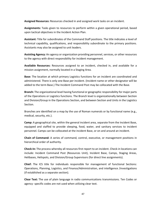**Assigned Resources:** Resources checked in and assigned work tasks on an incident.

**Assignments:** Tasks given to resources to perform within a given operational period, based upon tactical objectives in the Incident Action Plan.

**Assistant:** Title for subordinates of the Command Staff positions. The title indicates a level of technical capability, qualifications, and responsibility subordinate to the primary positions. Assistants may also be assigned to unit leaders.

**Assisting Agency:** An agency or organization providing personnel, services, or other resources to the agency with direct responsibility for incident management.

**Available Resources:** Resources assigned to an incident, checked in, and available for a mission assignment, normally located in a Staging Area.

**Base:** The location at which primary Logistics functions for an incident are coordinated and administered. There is only one Base per incident. (Incident name or other designator will be added to the term Base.) The Incident Command Post may be collocated with the Base.

**Branch:** The organizational level having functional or geographic responsibility for major parts of the Operations or Logistics functions. The Branch level is organizationally between Section and Division/Group in the Operations Section, and between Section and Units in the Logistics Section.

Branches are identified on a map by the use of Roman numerals or by functional name (e.g., medical, security, etc.).

**Camp:** A geographical site, within the general incident area, separate from the Incident Base, equipped and staffed to provide sleeping, food, water, and sanitary services to incident personnel. Camps can be collocated at the incident Base, or on and around an incident.

**Chain of Command:** A series of command, control, executive, or management positions in hierarchical order of authority.

**Check-In:** The process whereby all resources first report to an incident. Check-in locations can include: Incident Command Post (Resources Unit), Incident Base, Camps, Staging Areas, Helibases, Helispots, and Division/Group Supervisors (for direct line assignments).

**Chief:** The ICS title for individuals responsible for management of functional Sections: Operations, Planning, Logistics, and Finance/Administration, and intelligence /investigations (if established as a separate section).

**Clear Text:** The use of plain language in radio communications transmissions. Ten Codes or agency- specific codes are not used when utilizing clear text.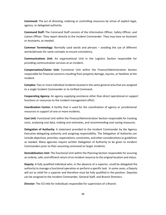**Command:** The act of directing, ordering or controlling resources by virtue of explicit legal, agency, or delegated authority.

**Command Staff:** The Command Staff consists of the Information Officer, Safety Officer, and Liaison Officer. They report directly to the Incident Commander. They may have an Assistant or Assistants, as needed.

**Common Terminology:** Normally used words and phrases – avoiding the use of different words/phrases for same concepts to ensure consistency.

**Communications Unit:** An organizational Unit in the Logistics Section responsible for providing communication services at an incident.

**Compensation/Claims Unit:** Functional Unit within the Finance/Administration Section responsible for financial concerns resulting from property damage, injuries, or fatalities at the incident.

**Complex:** Two or more individual incidents located in the same general area that are assigned to a single Incident Commander or to Unified Command.

**Cooperating Agency:** An agency supplying assistance other than direct operational or support functions or resources to the incident management effort.

**Coordination Centre:** A facility that is used for the coordination of agency or jurisdictional resources in support of one or more incidents.

**Cost Unit:** Functional Unit within the Finance/Administration Section responsible for tracking costs, analyzing cost data, making cost estimates, and recommending cost-saving measures.

**Delegation of Authority:** A statement provided to the Incident Commander by the Agency Executive delegating authority and assigning responsibility. The Delegation of Authority can include objectives, priorities, expectations, constraints, and other considerations or guidelines as needed. Many agencies require written Delegation of Authority to be given to Incident Commanders prior to their assuming command on larger incidents.

**Demobilization Unit:** The functional Unit within the Planning Section responsible for assuring an orderly, safe, and efficient return of an incident resource to the original location and status.

**Deputy:** A fully qualified individual who, in the absence of a superior, could be delegated the authority to manage a functional operation or perform a specific task. In some cases, a Deputy will act as relief for a superior and therefore must be fully qualified in the position. Deputies can be assigned to the Incident Commander, General Staff, and Branch Directors.

**Director:** The ICS title for individuals responsible for supervision of a Branch.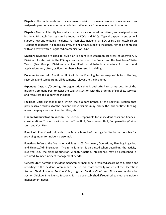**Dispatch:** The implementation of a command decision to move a resource or resources to an assigned operational mission or an administrative move from one location to another.

**Dispatch Centre:** A facility from which resources are ordered, mobilized, and assigned to an incident. Dispatch Centres can be found in ECCs and DCCs. Typical dispatch centres will support new and ongoing incidents. For complex incidents, an ECC or DCC can establish an "Expanded Dispatch" to deal exclusively of one or more specific incidents. Not to be confused with an activity within Logistics/Communications Unit.

**Division:** Divisions are used to divide an incident into geographical areas of operation. A Division is located within the ICS organization between the Branch and the Task Force/Strike Team. (See Group.) Divisions are identified by alphabetic characters for horizontal applications and, often, by floor numbers when used in buildings.

**Documentation Unit:** Functional Unit within the Planning Section responsible for collecting, recording, and safeguarding all documents relevant to the incident.

**Expanded Dispatch/Ordering:** An organization that is authorized to set up outside of the Incident Command Post to assist the Logistics Section with the ordering of supplies, services and resources to support the incident

**Facilities Unit:** Functional Unit within the Support Branch of the Logistics Section that provides fixed facilities for the incident. These facilities may include the Incident Base, feeding areas, sleeping areas, sanitary facilities, etc.

**Finance/Administration Section:** The Section responsible for all incident costs and financial considerations. This section includes the Time Unit, Procurement Unit, Compensation/Claims Unit, and Cost Unit.

**Food Unit:** Functional Unit within the Service Branch of the Logistics Section responsible for providing meals for incident personnel.

**Function:** Refers to the five major activities in ICS: Command, Operations, Planning, Logistics, and Finance/Administration. The term function is also used when describing the activity involved, e.g., the planning function. A sixth function, Intelligence, may be established, if required, to meet incident management needs.

**General Staff:** A group of incident management personnel organized according to function and reporting to the Incident Commander. The General Staff normally consists of the Operations Section Chief, Planning Section Chief, Logistics Section Chief, and Finance/Administration Section Chief. An Intelligence Section Chief may be established, if required, to meet the incident management needs.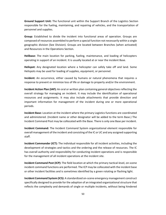**Ground Support Unit:** The functional unit within the Support Branch of the Logistics Section responsible for the fueling, maintaining, and repairing of vehicles, and the transportation of personnel and supplies.

**Group:** Established to divide the incident into functional areas of operation. Groups are composed of resources assembled to perform a special function not necessarily within a single geographic division (See Division). Groups are located between Branches (when activated) and Resources in the Operations Section.

**Helibase:** The main location for parking, fueling, maintenance, and loading of helicopters operating in support of an incident. It is usually located at or near the incident Base.

**Helispot:** Any designated location where a helicopter can safely take off and land. Some Helispots may be used for loading of supplies, equipment, or personnel.

**Incident:** An occurrence, either caused by humans or natural phenomena that requires a response to prevent or minimize loss of life or damage to property and/or the environment.

**Incident Action Plan (IAP):** An oral or written plan containing general objectives reflecting the overall strategy for managing an incident. It may include the identification of operational resources and assignments. It may also include attachments that provide direction and important information for management of the incident during one or more operational periods.

**Incident Base:** Location at the incident where the primary Logistics functions are coordinated and administered. (Incident name or other designator will be added to the term Base.) The Incident Command Post may be collocated with the Base. There is only one Base per incident.

**Incident Command:** The Incident Command System organizational element responsible for overall management of the incident and consisting of the IC or UC and any assigned supporting staff.

**Incident Commander (ICT):** The individual responsible for all incident activities, including the development of strategies and tactics and the ordering and the release of resources. The IC has overall authority and responsibility for conducting incident operations and is responsible for the management of all incident operations at the incident site.

**Incident Command Post (ICP):** The field location at which the primary tactical-level, on-scene incident command functions are performed. The ICP may be collocated with the incident base or other incident facilities and is sometimes identified by a green rotating or flashing light.

**Incident Command System (ICS):** A standardized on-scene emergency management construct specifically designed to provide for the adoption of an integrated organizational structure that reflects the complexity and demands of single or multiple incidents, without being hindered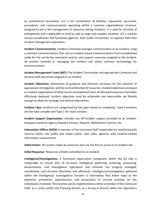by jurisdictional boundaries. ICS is the combination of facilities, equipment, personnel, procedures, and communications operating within a common organizational structure, designed to aid in the management of resources during incidents. It is used for all kinds of emergencies and is applicable to small as well as large and complex incidents. ICS is used by various jurisdictions and functional agencies, both public and private, to organize field-level incident management operations.

**Incident Communications**: Incident Command manages communication at an incident, using a common Communications Plan and an incident-based Communications Centre established solely for the use by the command, tactical, and support resources assigned to the incident. All entities involved in managing the incident will utilize common terminology for communications.

**Incident Management Team (IMT):** The Incident Commander and appropriate Command and General Staff personnel assigned to an incident.

**Incident Objectives:** Statements of guidance and direction necessary for the selection of appropriate strategy(ies), and the tactical direction of resources. Incident objectives are based on realistic expectations of what can be accomplished when all allocated resources have been effectively deployed. Incident objectives must be achievable and measurable, yet flexible enough to allow for strategic and tactical alternatives.

**Incident Type:** Incidents are categorized by five types based on complexity. Type 5 incidents are the least complex and Type 1 the most complex.

**Incident Support Organization:** Includes any off-incident support provided to an incident. Examples would be Agency Dispatch Centres, Airports, Mobilization Centres, etc.

**Information Officer (IOFR):** A member of the Command Staff responsible for interfacing with internal clients, the public and media and/or with other agencies with incident-related information requirements.

**Initial Action:** The actions taken by resources that are the first to arrive at an incident site.

**Initial Response:** Resources initially committed to an incident.

**Intelligence/Investigations:** A functional organization component within the ICS that is responsible to ensure that all on-scene intelligence gathering, analyzing, processing, dissemination, and investigation operations and activities are properly managed, coordinated, and directed effectively and efficiently. Intelligence/Investigations gathered within the Intelligence/ Investigations function is information that either leads to the detection, prevention, apprehension, and prosecution of criminal activities (or the individual(s) involved). This function can be implemented as either a member of the Command Staff, as a unit(s) within the Planning Section, as a Group or Branch within the Operations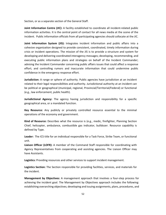Section, or as a separate section of the General Staff.

**Joint Information Centre (JIC):** A facility established to coordinate all incident-related public information activities. It is the central point of contact for all news media at the scene of the incident. Public information officials from all participating agencies should collocate at the JIC.

**Joint Information System (JIS):** Integrates incident information and public affairs into a cohesive organization designed to provide consistent, coordinated, timely information during crisis or incident operations. The mission of the JIS is to provide a structure and system for developing and delivering coordinated interagency messages; developing, recommending, and executing public information plans and strategies on behalf of the Incident Commander; advising the Incident Commander concerning public affairs issues that could affect a response effort; and controlling rumors and inaccurate information that could undermine public confidence in the emergency response effort.

**Jurisdiction:** A range or sphere of authority. Public agencies have jurisdiction at an incident related to their legal responsibilities and authority. Jurisdictional authority at an incident can be political or geographical (municipal, regional, Provincial/Territorial/Federal) or functional (e.g., law enforcement, public health).

**Jurisdictional Agency:** The agency having jurisdiction and responsibility for a specific geographical area, or a mandated function.

**Key Resource:** Any publicly or privately controlled resource essential to the minimal operations of the economy and government.

**Kind of Resource:** Describes what the resource is (e.g., medic, firefighter, Planning Section Chief, helicopter, ambulance, combustible gas indicator, bulldozer. Resource capability is defined by Type.

**Leader:** The ICS title for an individual responsible for a Task Force, Strike Team, or functional unit.

**Liaison Officer (LOFR):** A member of the Command Staff responsible for coordinating with Agency Representatives from cooperating and assisting agencies. The Liaison Officer may have Assistants.

**Logistics:** Providing resources and other services to support incident management.

**Logistics Section:** The Section responsible for providing facilities, services, and materials for the incident.

**Management by Objectives:** A management approach that involves a four-step process for achieving the incident goal. The Management by Objectives approach includes the following: establishing overarching objectives; developing and issuing assignments, plans, procedures, and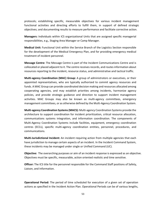protocols; establishing specific, measurable objectives for various incident management functional activities and directing efforts to fulfill them, in support of defined strategic objectives; and documenting results to measure performance and facilitate corrective action.

**Managers:** Individuals within ICS organizational Units that are assigned specific managerial responsibilities, e.g., Staging Area Manager or Camp Manager.

**Medical Unit:** Functional Unit within the Service Branch of the Logistics Section responsible for the development of the Medical Emergency Plan, and for providing emergency medical treatment of incident personnel.

**Message Centre:** The Message Centre is part of the Incident Communications Centre and is collocated or placed adjacent to it. The centre receives records, and routes information about resources reporting to the incident, resource status, and administrative and tactical traffic.

**Multi-agency Coordination (MAC) Group:** A group of administrators or executives, or their appointed representatives, who are typically authorized to commit agency resources and funds. A MAC Group can provide coordinated decision making and resources allocated among cooperating agencies, and may establish priorities among incidents, harmonize agency policies, and provide strategic guidance and direction to support incident management activities. MAC Groups may also be known as multi-agency committees, emergency management committees, or as otherwise defined by the Multi-Agency Coordination System.

**Multi-agency Coordination Systems (MACS):** Multi-agency Coordination Systems provide the architecture to support coordination for incident prioritization, critical resource allocation, communications systems integration, and information coordination. The components of Multi-Agency Coordination Systems include facilities, equipment, emergency coordination centres (ECCs), specific multi-agency coordination entities, personnel, procedures, and communications.

**Multi-Jurisdictional Incident:** An incident requiring action from multiple agencies that each have jurisdiction to manage certain aspects of an incident. In the Incident Command System, these incidents may be managed under single or Unified Command (UC).

**Objective:** The overarching purposes or aim of an incident response is expressed as an objective. Objectives must be specific, measurable, action oriented realistic and time sensitive.

**Officer:** The ICS title for the personnel responsible for the Command Staff positions of Safety, Liaison, and Information.

**Operational Period:** The period of time scheduled for execution of a given set of operation actions as specified in the Incident Action Plan. Operational Periods can be of various lengths,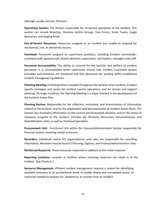although usually not over 24 hours.

**Operations Section:** The Section responsible for all tactical operations at the incident. This section can include Branches, Divisions and/or Groups, Task Forces, Strike Teams, Single Resources, and Staging Areas.

**Out-of-Service Resources:** Resources assigned to an incident but unable to respond for mechanical, rest, or personnel reasons.

**Overhead:** Personnel assigned to supervisory positions, including incident commander, command staff, general staff, branch directors, supervisors, unit leaders, managers and staff.

**Personnel Accountability:** The ability to account for the location and welfare of incident personnel. It is accomplished when supervisors ensure that Incident Command System principles and processes are functional and that personnel are working within established incident management guidelines

**Planning Meeting:** A meeting held as needed throughout the duration of an incident, to select specific strategies and tactics for incident control operations, and for service and support planning. On larger incidents, the Planning Meeting is a major element in the development of the Incident Action Plan.

**Planning Section:** Responsible for the collection, evaluation, and dissemination of information related to the incident, and for the preparation and documentation of Incident Action Plans. The Section also maintains information on the current and forecasted situation, and on the status of resources assigned to the incident. Includes the Situation, Resources, Documentation, and Demobilization Units, as well as Technical Specialists.

**Procurement Unit:** Functional Unit within the Finance/Administration Section responsible for financial matters involving vendor contracts

**Recorders:** Individuals within ICS organizational units who are responsible for recording information. Recorders may be found in Planning, Logistics, and Finance/Administration Units.

**Reinforced Response:** Those resources requested in addition to the initial response.

**Reporting Locations:** Location or facilities where incoming resources can check in at the incident. (See Check-In.)

**Resource Management:** Efficient incident management requires a system for identifying available resources at all jurisdictional levels to enable timely and unimpeded access to resources needed to prepare for, respond to, or recover from an incident.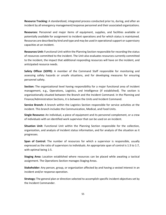**Resource Tracking:** A standardized, integrated process conducted prior to, during, and after an incident by all emergency management/response personnel and their associated organizations.

**Resources:** Personnel and major items of equipment, supplies, and facilities available or potentially available for assignment to incident operations and for which status is maintained. Resources are described by kind and type and may be used in operational support or supervisory capacities at an incident.

**Resources Unit:** Functional Unit within the Planning Section responsible for recording the status of resources committed to the incident. The Unit also evaluates resources currently committed to the incident, the impact that additional responding resources will have on the incident, and anticipated resource needs.

**Safety Officer (SOFR):** A member of the Command Staff responsible for monitoring and assessing safety hazards or unsafe situations, and for developing measures for ensuring personnel safety.

**Section:** The organizational level having responsibility for a major functional area of incident management, e.g., Operations, Logistics, and Intelligence (if established). The section is organizationally situated between the Branch and the Incident Command. In the Planning and Finance/Administration Sections, it is between the Units and Incident Command.

**Service Branch:** A branch within the Logistics Section responsible for service activities at the incident. This branch includes the Communication, Medical, and Food Units.

**Single Resource:** An individual, a piece of equipment and its personnel complement, or a crew of individuals with an identified work supervisor that can be used on an incident.

**Situation Unit:** Functional Unit within the Planning Section responsible for the collection, organization, and analysis of incident status information, and for analysis of the situation as it progresses.

**Span of Control:** The number of resources for which a supervisor is responsible, usually expressed as the ratio of supervisors to individuals. An appropriate span of control is 1:3 to 1:7, with optimal being 1:5.

**Staging Area:** Location established where resources can be placed while awaiting a tactical assignment. The Operations Section manages Staging Areas.

**Stakeholder:** Any person, group, or organization affected by and having a vested interest in an incident and/or response operation.

**Strategy:** The general plan or direction selected to accomplish specific incident objectives set by the Incident Commander.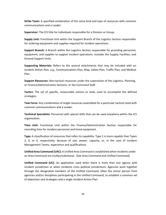**Strike Team:** A specified combination of the same kind and type of resources with common communications and a Leader.

**Supervisor:** The ICS title for individuals responsible for a Division or Group.

**Supply Unit:** Functional Unit within the Support Branch of the Logistics Section responsible for ordering equipment and supplies required for incident operations.

**Support Branch:** A Branch within the Logistics Section responsible for providing personnel, equipment, and supplies to support incident operations. Includes the Supply, Facilities, and Ground Support Units.

**Supporting Materials:** Refers to the several attachments that may be included with an Incident Action Plan, e.g., Communications Plan, Map, Safety Plan, Traffic Plan, and Medical Plan.

**Support Resources:** Non-tactical resources under the supervision of the Logistics, Planning, or Finance/Administration Sections, or the Command Staff.

**Tactics:** The set of specific, measurable actions or tasks used to accomplish the defined strategies.

**Task Force:** Any combination of single resources assembled for a particular tactical need with common communications and a Leader.

**Technical Specialists:** Personnel with special skills that can be used anywhere within the ICS organization.

**Time Unit:** Functional Unit within the Finance/Administration Section responsible for recording time for incident personnel and hired equipment.

**Type:** A classification of resources that refers to capability. Type 1 is more capable than Types 2, 3, or 4, respectively, because of size, power, capacity, or, in the case of Incident Management Teams, experience and qualifications.

**Unified Area Command (UAC):** A Unified Area Command is established when incidents under an Area Command are multijurisdictional. (See Area Command and Unified Command).

**Unified Command (UC):** An application used when there is more than one agency with incident jurisdiction or when incidents cross political jurisdictions. Agencies work together through the designated members of the Unified Command, often the senior person from agencies and/or disciplines participating in the Unified Command, to establish a common set of objectives and strategies and a single Incident Action Plan.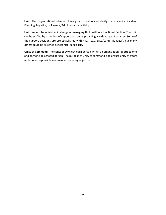**Unit:** The organizational element having functional responsibility for a specific incident Planning, Logistics, or Finance/Administration activity.

**Unit Leader:** An individual in charge of managing Units within a functional Section. The Unit can be staffed by a number of support personnel providing a wide range of services. Some of the support positions are pre-established within ICS (e.g., Base/Camp Manager), but many others could be assigned as technical specialists.

**Unity of Command:** The concept by which each person within an organization reports to one and only one designated person. The purpose of unity of command is to ensure unity of effort under one responsible commander for every objective.